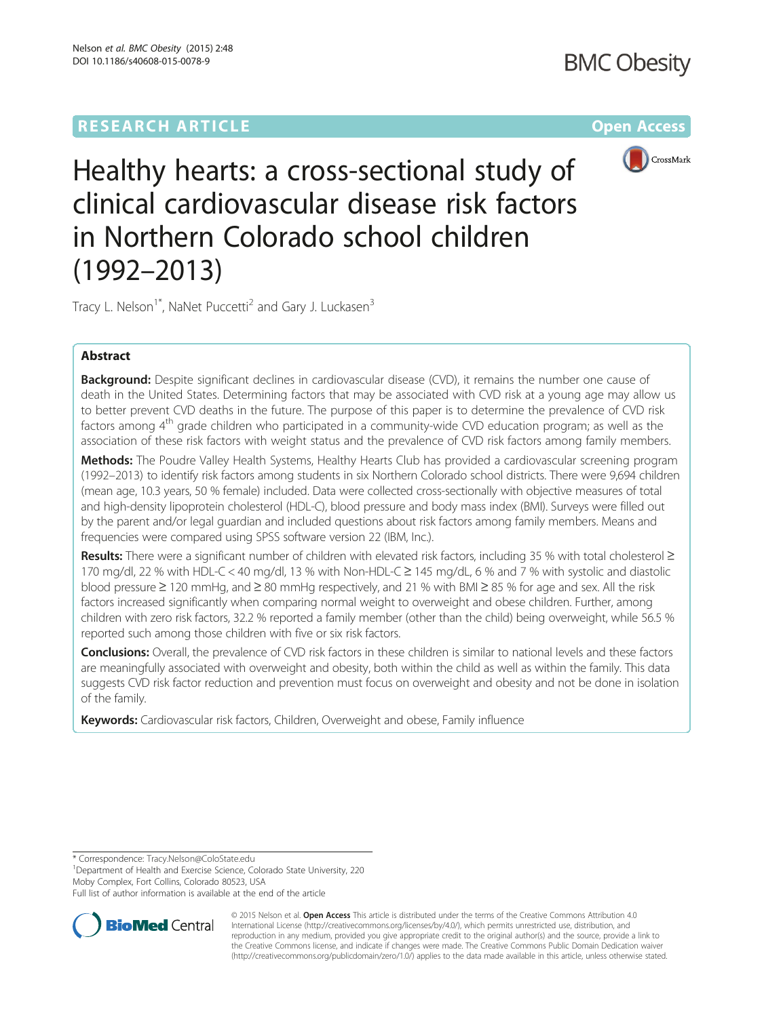# **RESEARCH ARTICLE External Structure of the Contract Open Access**



Healthy hearts: a cross-sectional study of clinical cardiovascular disease risk factors in Northern Colorado school children (1992–2013)

Tracy L. Nelson<sup>1\*</sup>, NaNet Puccetti<sup>2</sup> and Gary J. Luckasen<sup>3</sup>

# Abstract

**Background:** Despite significant declines in cardiovascular disease (CVD), it remains the number one cause of death in the United States. Determining factors that may be associated with CVD risk at a young age may allow us to better prevent CVD deaths in the future. The purpose of this paper is to determine the prevalence of CVD risk factors among 4<sup>th</sup> grade children who participated in a community-wide CVD education program; as well as the association of these risk factors with weight status and the prevalence of CVD risk factors among family members.

Methods: The Poudre Valley Health Systems, Healthy Hearts Club has provided a cardiovascular screening program (1992–2013) to identify risk factors among students in six Northern Colorado school districts. There were 9,694 children (mean age, 10.3 years, 50 % female) included. Data were collected cross-sectionally with objective measures of total and high-density lipoprotein cholesterol (HDL-C), blood pressure and body mass index (BMI). Surveys were filled out by the parent and/or legal guardian and included questions about risk factors among family members. Means and frequencies were compared using SPSS software version 22 (IBM, Inc.).

Results: There were a significant number of children with elevated risk factors, including 35 % with total cholesterol ≥ 170 mg/dl, 22 % with HDL-C < 40 mg/dl, 13 % with Non-HDL-C ≥ 145 mg/dL, 6 % and 7 % with systolic and diastolic blood pressure ≥ 120 mmHg, and ≥ 80 mmHg respectively, and 21 % with BMI ≥ 85 % for age and sex. All the risk factors increased significantly when comparing normal weight to overweight and obese children. Further, among children with zero risk factors, 32.2 % reported a family member (other than the child) being overweight, while 56.5 % reported such among those children with five or six risk factors.

**Conclusions:** Overall, the prevalence of CVD risk factors in these children is similar to national levels and these factors are meaningfully associated with overweight and obesity, both within the child as well as within the family. This data suggests CVD risk factor reduction and prevention must focus on overweight and obesity and not be done in isolation of the family.

Keywords: Cardiovascular risk factors, Children, Overweight and obese, Family influence

<sup>1</sup>Department of Health and Exercise Science, Colorado State University, 220 Moby Complex, Fort Collins, Colorado 80523, USA

Full list of author information is available at the end of the article



© 2015 Nelson et al. Open Access This article is distributed under the terms of the Creative Commons Attribution 4.0 International License [\(http://creativecommons.org/licenses/by/4.0/](http://creativecommons.org/licenses/by/4.0/)), which permits unrestricted use, distribution, and reproduction in any medium, provided you give appropriate credit to the original author(s) and the source, provide a link to the Creative Commons license, and indicate if changes were made. The Creative Commons Public Domain Dedication waiver [\(http://creativecommons.org/publicdomain/zero/1.0/](http://creativecommons.org/publicdomain/zero/1.0/)) applies to the data made available in this article, unless otherwise stated.

<sup>\*</sup> Correspondence: [Tracy.Nelson@ColoState.edu](mailto:Tracy.Nelson@ColoState.edu) <sup>1</sup>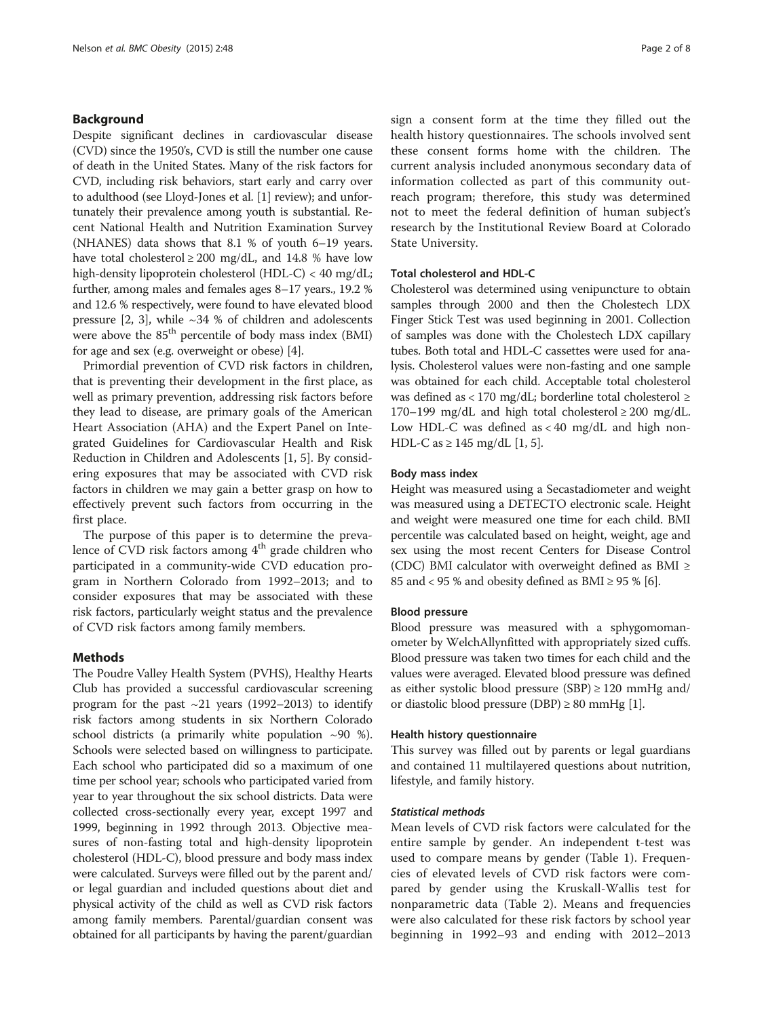## Background

Despite significant declines in cardiovascular disease (CVD) since the 1950's, CVD is still the number one cause of death in the United States. Many of the risk factors for CVD, including risk behaviors, start early and carry over to adulthood (see Lloyd-Jones et al. [\[1](#page-7-0)] review); and unfortunately their prevalence among youth is substantial. Recent National Health and Nutrition Examination Survey (NHANES) data shows that 8.1 % of youth 6–19 years. have total cholesterol  $\geq 200$  mg/dL, and 14.8 % have low high-density lipoprotein cholesterol (HDL-C) < 40 mg/dL; further, among males and females ages 8–17 years., 19.2 % and 12.6 % respectively, were found to have elevated blood pressure  $[2, 3]$  $[2, 3]$  $[2, 3]$ , while  $\sim$ 34 % of children and adolescents were above the 85<sup>th</sup> percentile of body mass index (BMI) for age and sex (e.g. overweight or obese) [\[4\]](#page-7-0).

Primordial prevention of CVD risk factors in children, that is preventing their development in the first place, as well as primary prevention, addressing risk factors before they lead to disease, are primary goals of the American Heart Association (AHA) and the Expert Panel on Integrated Guidelines for Cardiovascular Health and Risk Reduction in Children and Adolescents [\[1](#page-7-0), [5](#page-7-0)]. By considering exposures that may be associated with CVD risk factors in children we may gain a better grasp on how to effectively prevent such factors from occurring in the first place.

The purpose of this paper is to determine the prevalence of CVD risk factors among 4<sup>th</sup> grade children who participated in a community-wide CVD education program in Northern Colorado from 1992–2013; and to consider exposures that may be associated with these risk factors, particularly weight status and the prevalence of CVD risk factors among family members.

## Methods

The Poudre Valley Health System (PVHS), Healthy Hearts Club has provided a successful cardiovascular screening program for the past  $\sim$ 21 years (1992–2013) to identify risk factors among students in six Northern Colorado school districts (a primarily white population  $\sim$ 90 %). Schools were selected based on willingness to participate. Each school who participated did so a maximum of one time per school year; schools who participated varied from year to year throughout the six school districts. Data were collected cross-sectionally every year, except 1997 and 1999, beginning in 1992 through 2013. Objective measures of non-fasting total and high-density lipoprotein cholesterol (HDL-C), blood pressure and body mass index were calculated. Surveys were filled out by the parent and/ or legal guardian and included questions about diet and physical activity of the child as well as CVD risk factors among family members. Parental/guardian consent was obtained for all participants by having the parent/guardian

sign a consent form at the time they filled out the health history questionnaires. The schools involved sent these consent forms home with the children. The current analysis included anonymous secondary data of information collected as part of this community outreach program; therefore, this study was determined not to meet the federal definition of human subject's research by the Institutional Review Board at Colorado State University.

## Total cholesterol and HDL-C

Cholesterol was determined using venipuncture to obtain samples through 2000 and then the Cholestech LDX Finger Stick Test was used beginning in 2001. Collection of samples was done with the Cholestech LDX capillary tubes. Both total and HDL-C cassettes were used for analysis. Cholesterol values were non-fasting and one sample was obtained for each child. Acceptable total cholesterol was defined as < 170 mg/dL; borderline total cholesterol  $\ge$ 170–199 mg/dL and high total cholesterol  $\geq 200$  mg/dL. Low HDL-C was defined as  $< 40$  mg/dL and high non-HDL-C as ≥ 145 mg/dL [\[1](#page-7-0), [5\]](#page-7-0).

## Body mass index

Height was measured using a Secastadiometer and weight was measured using a DETECTO electronic scale. Height and weight were measured one time for each child. BMI percentile was calculated based on height, weight, age and sex using the most recent Centers for Disease Control (CDC) BMI calculator with overweight defined as BMI  $\geq$ 85 and < 95 % and obesity defined as BMI  $\geq$  95 % [\[6](#page-7-0)].

# Blood pressure

Blood pressure was measured with a sphygomomanometer by WelchAllynfitted with appropriately sized cuffs. Blood pressure was taken two times for each child and the values were averaged. Elevated blood pressure was defined as either systolic blood pressure (SBP)  $\ge$  120 mmHg and/ or diastolic blood pressure (DBP)  $\geq 80$  mmHg [\[1\]](#page-7-0).

#### Health history questionnaire

This survey was filled out by parents or legal guardians and contained 11 multilayered questions about nutrition, lifestyle, and family history.

#### Statistical methods

Mean levels of CVD risk factors were calculated for the entire sample by gender. An independent t-test was used to compare means by gender (Table [1](#page-2-0)). Frequencies of elevated levels of CVD risk factors were compared by gender using the Kruskall-Wallis test for nonparametric data (Table [2\)](#page-2-0). Means and frequencies were also calculated for these risk factors by school year beginning in 1992–93 and ending with 2012–2013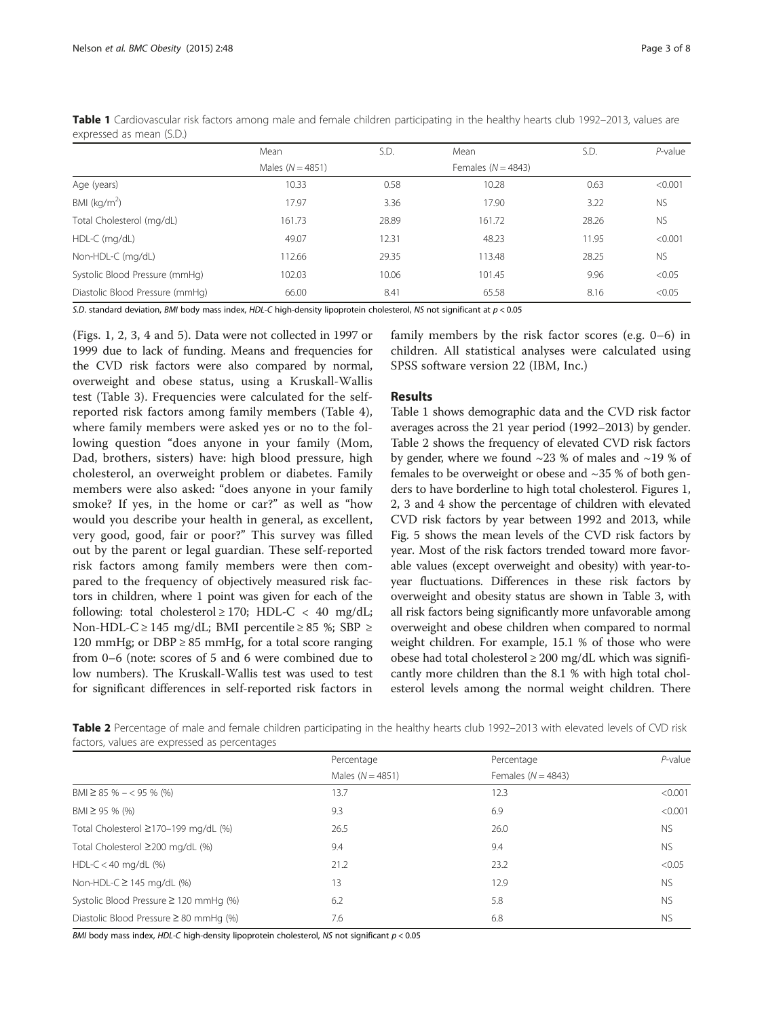|                                 | Mean               | S.D.  | Mean                 | S.D.  | $P$ -value |
|---------------------------------|--------------------|-------|----------------------|-------|------------|
|                                 | Males $(N = 4851)$ |       | Females $(N = 4843)$ |       |            |
| Age (years)                     | 10.33              | 0.58  | 10.28                | 0.63  | < 0.001    |
| BMI ( $kg/m2$ )                 | 17.97              | 3.36  | 17.90                | 3.22  | <b>NS</b>  |
| Total Cholesterol (mg/dL)       | 161.73             | 28.89 | 161.72               | 28.26 | <b>NS</b>  |
| $HDL-C$ (mg/dL)                 | 49.07              | 12.31 | 48.23                | 11.95 | < 0.001    |
| Non-HDL-C (mg/dL)               | 112.66             | 29.35 | 113.48               | 28.25 | <b>NS</b>  |
| Systolic Blood Pressure (mmHg)  | 102.03             | 10.06 | 101.45               | 9.96  | < 0.05     |
| Diastolic Blood Pressure (mmHg) | 66.00              | 8.41  | 65.58                | 8.16  | < 0.05     |

<span id="page-2-0"></span>Table 1 Cardiovascular risk factors among male and female children participating in the healthy hearts club 1992–2013, values are expressed as mean (S.D.)

S.D. standard deviation, BMI body mass index, HDL-C high-density lipoprotein cholesterol, NS not significant at p < 0.05

(Figs. [1, 2,](#page-3-0) [3](#page-4-0), [4](#page-5-0) and [5\)](#page-5-0). Data were not collected in 1997 or 1999 due to lack of funding. Means and frequencies for the CVD risk factors were also compared by normal, overweight and obese status, using a Kruskall-Wallis test (Table [3\)](#page-6-0). Frequencies were calculated for the selfreported risk factors among family members (Table [4](#page-6-0)), where family members were asked yes or no to the following question "does anyone in your family (Mom, Dad, brothers, sisters) have: high blood pressure, high cholesterol, an overweight problem or diabetes. Family members were also asked: "does anyone in your family smoke? If yes, in the home or car?" as well as "how would you describe your health in general, as excellent, very good, good, fair or poor?" This survey was filled out by the parent or legal guardian. These self-reported risk factors among family members were then compared to the frequency of objectively measured risk factors in children, where 1 point was given for each of the following: total cholesterol  $\geq$  170; HDL-C < 40 mg/dL; Non-HDL-C ≥ 145 mg/dL; BMI percentile ≥ 85 %; SBP ≥ 120 mmHg; or DBP  $\geq$  85 mmHg, for a total score ranging from 0–6 (note: scores of 5 and 6 were combined due to low numbers). The Kruskall-Wallis test was used to test for significant differences in self-reported risk factors in family members by the risk factor scores (e.g. 0–6) in children. All statistical analyses were calculated using SPSS software version 22 (IBM, Inc.)

# Results

Table 1 shows demographic data and the CVD risk factor averages across the 21 year period (1992–2013) by gender. Table 2 shows the frequency of elevated CVD risk factors by gender, where we found  $\sim$ 23 % of males and  $\sim$ 19 % of females to be overweight or obese and  $\sim$ 35 % of both genders to have borderline to high total cholesterol. Figures [1](#page-3-0), [2,](#page-3-0) [3](#page-4-0) and [4](#page-5-0) show the percentage of children with elevated CVD risk factors by year between 1992 and 2013, while Fig. [5](#page-5-0) shows the mean levels of the CVD risk factors by year. Most of the risk factors trended toward more favorable values (except overweight and obesity) with year-toyear fluctuations. Differences in these risk factors by overweight and obesity status are shown in Table [3](#page-6-0), with all risk factors being significantly more unfavorable among overweight and obese children when compared to normal weight children. For example, 15.1 % of those who were obese had total cholesterol  $\geq 200$  mg/dL which was significantly more children than the 8.1 % with high total cholesterol levels among the normal weight children. There

| Table 2 Percentage of male and female children participating in the healthy hearts club 1992-2013 with elevated levels of CVD risk |  |
|------------------------------------------------------------------------------------------------------------------------------------|--|
| factors, values are expressed as percentages                                                                                       |  |

|                                             | Percentage           | Percentage           | P-value   |
|---------------------------------------------|----------------------|----------------------|-----------|
|                                             | Males ( $N = 4851$ ) | Females $(N = 4843)$ |           |
| $BMI \geq 85 \% - 595 \%$ (%)               | 13.7                 | 12.3                 | < 0.001   |
| $BMI \geq 95 \%$ (%)                        | 9.3                  | 6.9                  | < 0.001   |
| Total Cholesterol ≥170–199 mg/dL (%)        | 26.5                 | 26.0                 | <b>NS</b> |
| Total Cholesterol ≥200 mg/dL (%)            | 9.4                  | 9.4                  | <b>NS</b> |
| $HDL-C < 40$ mg/dL $(\%)$                   | 21.2                 | 23.2                 | < 0.05    |
| Non-HDL-C $\geq$ 145 mg/dL (%)              | 13                   | 12.9                 | <b>NS</b> |
| Systolic Blood Pressure ≥ 120 mmHg (%)      | 6.2                  | 5.8                  | <b>NS</b> |
| Diastolic Blood Pressure $\geq 80$ mmHg (%) | 7.6                  | 6.8                  | <b>NS</b> |

BMI body mass index, HDL-C high-density lipoprotein cholesterol, NS not significant  $p < 0.05$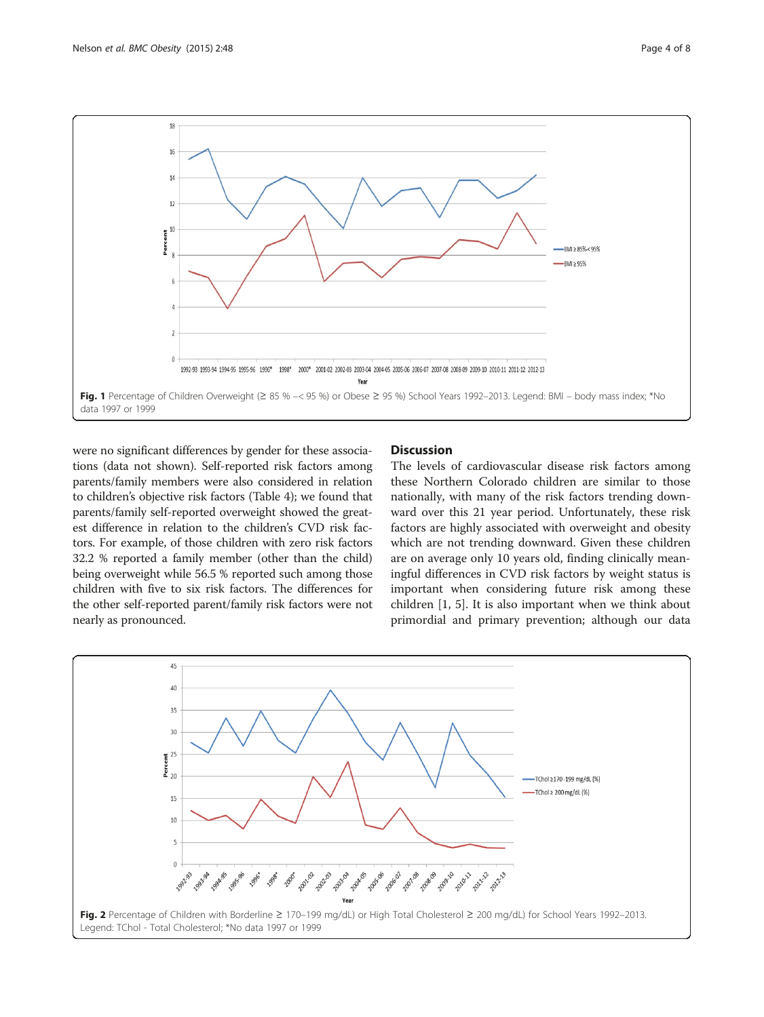<span id="page-3-0"></span>

were no significant differences by gender for these associations (data not shown). Self-reported risk factors among parents/family members were also considered in relation to children's objective risk factors (Table [4](#page-6-0)); we found that parents/family self-reported overweight showed the greatest difference in relation to the children's CVD risk factors. For example, of those children with zero risk factors 32.2 % reported a family member (other than the child) being overweight while 56.5 % reported such among those children with five to six risk factors. The differences for the other self-reported parent/family risk factors were not nearly as pronounced.

# **Discussion**

The levels of cardiovascular disease risk factors among these Northern Colorado children are similar to those nationally, with many of the risk factors trending downward over this 21 year period. Unfortunately, these risk factors are highly associated with overweight and obesity which are not trending downward. Given these children are on average only 10 years old, finding clinically meaningful differences in CVD risk factors by weight status is important when considering future risk among these children [[1, 5\]](#page-7-0). It is also important when we think about primordial and primary prevention; although our data

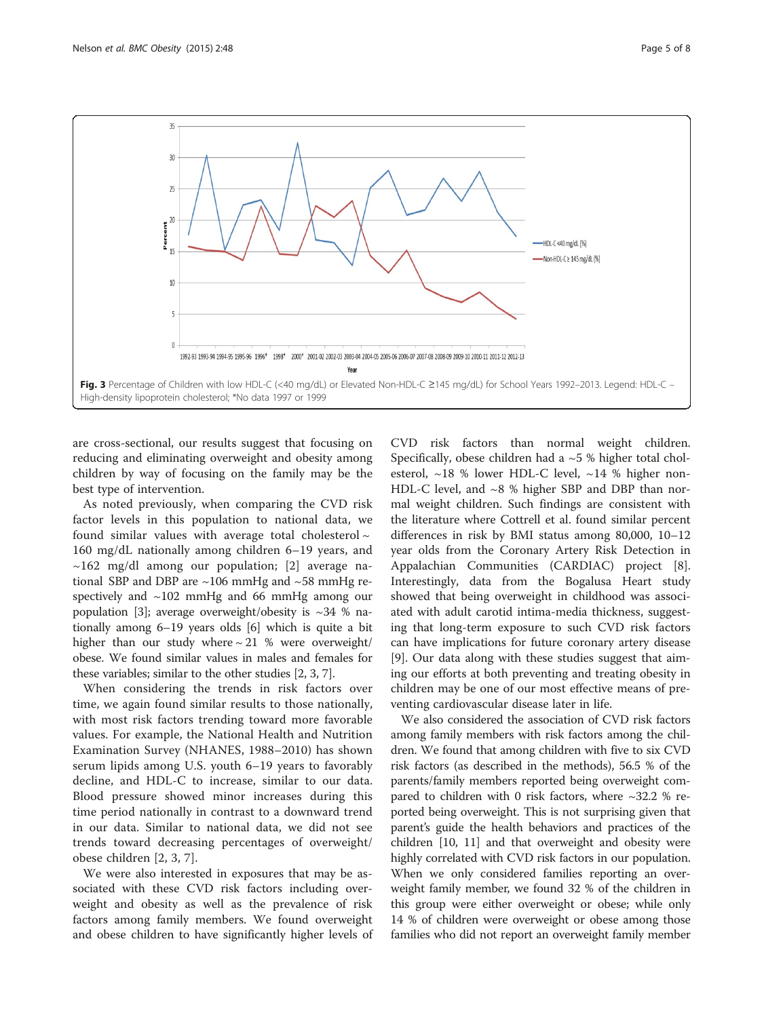<span id="page-4-0"></span>

are cross-sectional, our results suggest that focusing on reducing and eliminating overweight and obesity among children by way of focusing on the family may be the best type of intervention.

As noted previously, when comparing the CVD risk factor levels in this population to national data, we found similar values with average total cholesterol  $\sim$ 160 mg/dL nationally among children 6–19 years, and  $\sim$ 162 mg/dl among our population; [[2\]](#page-7-0) average national SBP and DBP are ~106 mmHg and ~58 mmHg respectively and ~102 mmHg and 66 mmHg among our population [\[3](#page-7-0)]; average overweight/obesity is  $\sim$ 34 % nationally among 6–19 years olds [\[6](#page-7-0)] which is quite a bit higher than our study where  $\sim$  21 % were overweight/ obese. We found similar values in males and females for these variables; similar to the other studies [\[2](#page-7-0), [3, 7](#page-7-0)].

When considering the trends in risk factors over time, we again found similar results to those nationally, with most risk factors trending toward more favorable values. For example, the National Health and Nutrition Examination Survey (NHANES, 1988–2010) has shown serum lipids among U.S. youth 6–19 years to favorably decline, and HDL-C to increase, similar to our data. Blood pressure showed minor increases during this time period nationally in contrast to a downward trend in our data. Similar to national data, we did not see trends toward decreasing percentages of overweight/ obese children [\[2](#page-7-0), [3, 7\]](#page-7-0).

We were also interested in exposures that may be associated with these CVD risk factors including overweight and obesity as well as the prevalence of risk factors among family members. We found overweight and obese children to have significantly higher levels of

CVD risk factors than normal weight children. Specifically, obese children had a  $~5$  % higher total cholesterol,  $\sim$ 18 % lower HDL-C level,  $\sim$ 14 % higher non-HDL-C level, and ~8 % higher SBP and DBP than normal weight children. Such findings are consistent with the literature where Cottrell et al. found similar percent differences in risk by BMI status among 80,000, 10–12 year olds from the Coronary Artery Risk Detection in Appalachian Communities (CARDIAC) project [\[8](#page-7-0)]. Interestingly, data from the Bogalusa Heart study showed that being overweight in childhood was associated with adult carotid intima-media thickness, suggesting that long-term exposure to such CVD risk factors can have implications for future coronary artery disease [[9\]](#page-7-0). Our data along with these studies suggest that aiming our efforts at both preventing and treating obesity in children may be one of our most effective means of preventing cardiovascular disease later in life.

We also considered the association of CVD risk factors among family members with risk factors among the children. We found that among children with five to six CVD risk factors (as described in the methods), 56.5 % of the parents/family members reported being overweight compared to children with 0 risk factors, where  $\sim$ 32.2 % reported being overweight. This is not surprising given that parent's guide the health behaviors and practices of the children [\[10, 11](#page-7-0)] and that overweight and obesity were highly correlated with CVD risk factors in our population. When we only considered families reporting an overweight family member, we found 32 % of the children in this group were either overweight or obese; while only 14 % of children were overweight or obese among those families who did not report an overweight family member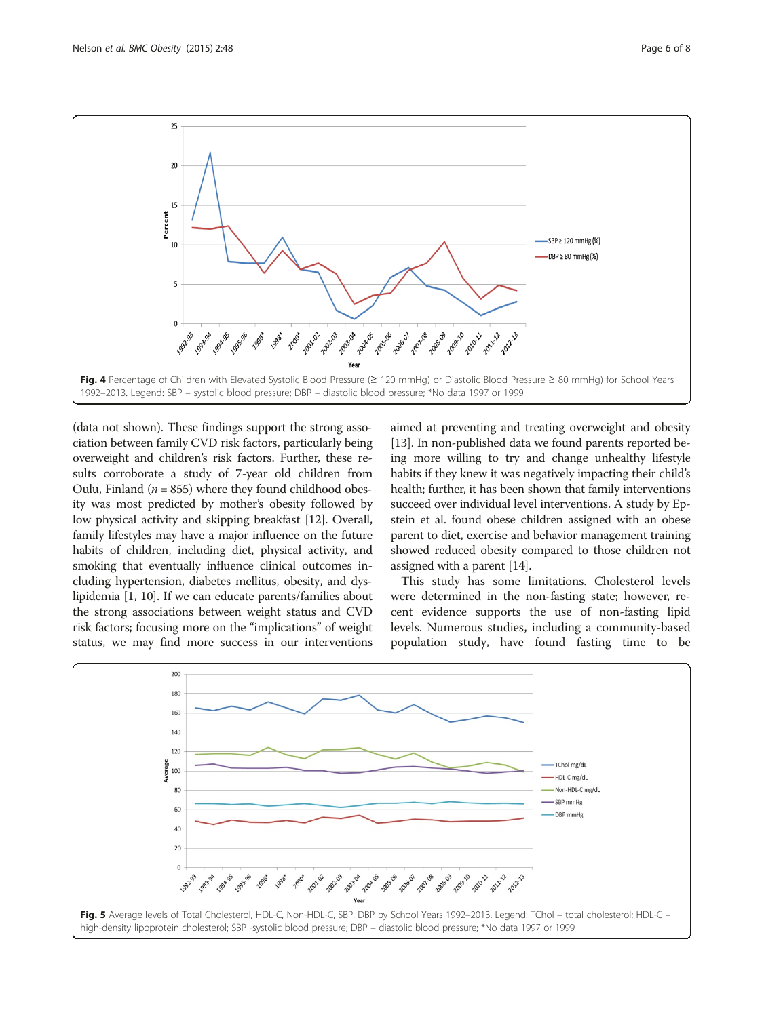<span id="page-5-0"></span>

(data not shown). These findings support the strong association between family CVD risk factors, particularly being overweight and children's risk factors. Further, these results corroborate a study of 7-year old children from Oulu, Finland ( $n = 855$ ) where they found childhood obesity was most predicted by mother's obesity followed by low physical activity and skipping breakfast [[12](#page-7-0)]. Overall, family lifestyles may have a major influence on the future habits of children, including diet, physical activity, and smoking that eventually influence clinical outcomes including hypertension, diabetes mellitus, obesity, and dyslipidemia [[1](#page-7-0), [10](#page-7-0)]. If we can educate parents/families about the strong associations between weight status and CVD risk factors; focusing more on the "implications" of weight status, we may find more success in our interventions

aimed at preventing and treating overweight and obesity [[13](#page-7-0)]. In non-published data we found parents reported being more willing to try and change unhealthy lifestyle habits if they knew it was negatively impacting their child's health; further, it has been shown that family interventions succeed over individual level interventions. A study by Epstein et al. found obese children assigned with an obese parent to diet, exercise and behavior management training showed reduced obesity compared to those children not assigned with a parent [[14](#page-7-0)].

This study has some limitations. Cholesterol levels were determined in the non-fasting state; however, recent evidence supports the use of non-fasting lipid levels. Numerous studies, including a community-based population study, have found fasting time to be

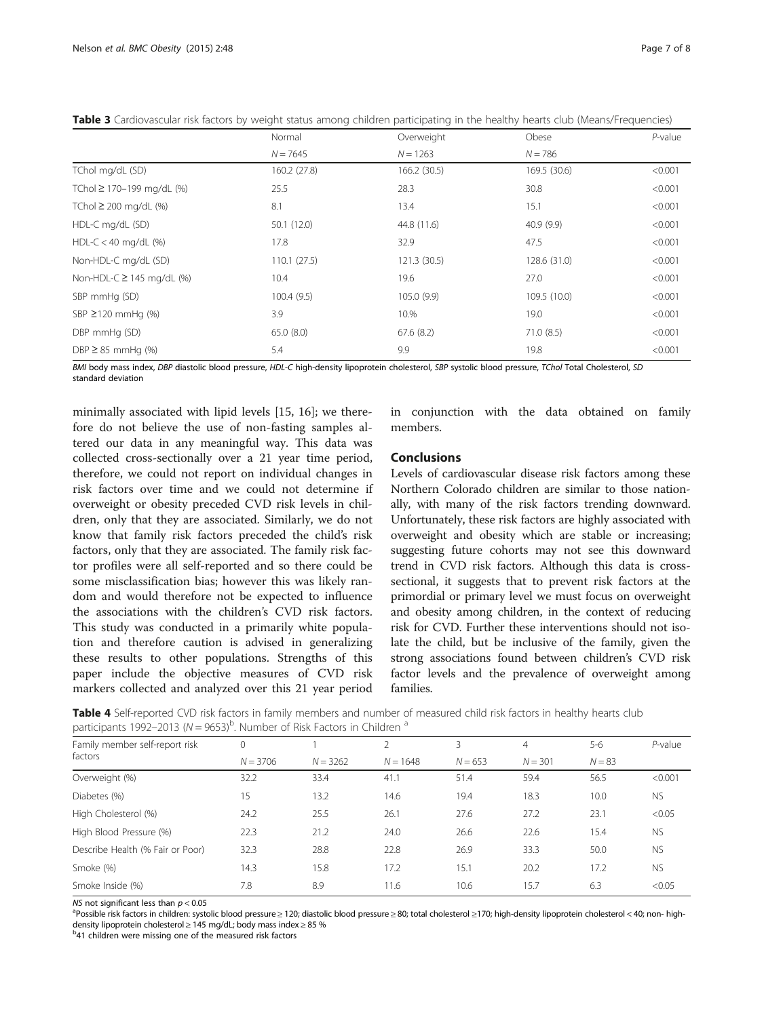|                                | Normal       | Overweight   | Obese        | $P$ -value |
|--------------------------------|--------------|--------------|--------------|------------|
|                                | $N = 7645$   | $N = 1263$   | $N = 786$    |            |
| TChol mg/dL (SD)               | 160.2 (27.8) | 166.2 (30.5) | 169.5 (30.6) | < 0.001    |
| TChol ≥ 170-199 mg/dL (%)      | 25.5         | 28.3         | 30.8         | < 0.001    |
| TChol $\geq$ 200 mg/dL (%)     | 8.1          | 13.4         | 15.1         | < 0.001    |
| HDL-C mg/dL (SD)               | 50.1(12.0)   | 44.8 (11.6)  | 40.9 (9.9)   | < 0.001    |
| $HDL-C < 40$ mg/dL $(\%)$      | 17.8         | 32.9         | 47.5         | < 0.001    |
| Non-HDL-C mg/dL (SD)           | 110.1(27.5)  | 121.3 (30.5) | 128.6 (31.0) | < 0.001    |
| Non-HDL-C $\geq$ 145 mg/dL (%) | 10.4         | 19.6         | 27.0         | < 0.001    |
| SBP mmHg (SD)                  | 100.4(9.5)   | 105.0 (9.9)  | 109.5 (10.0) | < 0.001    |
| SBP $\geq$ 120 mmHg (%)        | 3.9          | 10.%         | 19.0         | < 0.001    |
| DBP mmHg (SD)                  | 65.0(8.0)    | 67.6(8.2)    | 71.0(8.5)    | < 0.001    |
| $DBP \geq 85$ mmHg (%)         | 5.4          | 9.9          | 19.8         | < 0.001    |

<span id="page-6-0"></span>Table 3 Cardiovascular risk factors by weight status among children participating in the healthy hearts club (Means/Frequencies)

BMI body mass index, DBP diastolic blood pressure, HDL-C high-density lipoprotein cholesterol, SBP systolic blood pressure, TChol Total Cholesterol, SD standard deviation

minimally associated with lipid levels [\[15](#page-7-0), [16\]](#page-7-0); we therefore do not believe the use of non-fasting samples altered our data in any meaningful way. This data was collected cross-sectionally over a 21 year time period, therefore, we could not report on individual changes in risk factors over time and we could not determine if overweight or obesity preceded CVD risk levels in children, only that they are associated. Similarly, we do not know that family risk factors preceded the child's risk factors, only that they are associated. The family risk factor profiles were all self-reported and so there could be some misclassification bias; however this was likely random and would therefore not be expected to influence the associations with the children's CVD risk factors. This study was conducted in a primarily white population and therefore caution is advised in generalizing these results to other populations. Strengths of this paper include the objective measures of CVD risk markers collected and analyzed over this 21 year period

in conjunction with the data obtained on family members.

# Conclusions

Levels of cardiovascular disease risk factors among these Northern Colorado children are similar to those nationally, with many of the risk factors trending downward. Unfortunately, these risk factors are highly associated with overweight and obesity which are stable or increasing; suggesting future cohorts may not see this downward trend in CVD risk factors. Although this data is crosssectional, it suggests that to prevent risk factors at the primordial or primary level we must focus on overweight and obesity among children, in the context of reducing risk for CVD. Further these interventions should not isolate the child, but be inclusive of the family, given the strong associations found between children's CVD risk factor levels and the prevalence of overweight among families.

Table 4 Self-reported CVD risk factors in family members and number of measured child risk factors in healthy hearts club participants 1992–2013 ( $N = 9653$ <sup>b</sup>. Number of Risk Factors in Children  $^a$ 

| Family member self-report risk   | 0          |            |            |           | 4         | $5 - 6$  | $P$ -value |
|----------------------------------|------------|------------|------------|-----------|-----------|----------|------------|
| factors                          | $N = 3706$ | $N = 3262$ | $N = 1648$ | $N = 653$ | $N = 301$ | $N = 83$ |            |
| Overweight (%)                   | 32.2       | 33.4       | 41.1       | 51.4      | 59.4      | 56.5     | < 0.001    |
| Diabetes (%)                     | 15         | 13.2       | 14.6       | 19.4      | 18.3      | 10.0     | <b>NS</b>  |
| High Cholesterol (%)             | 24.2       | 25.5       | 26.1       | 27.6      | 27.2      | 23.1     | < 0.05     |
| High Blood Pressure (%)          | 22.3       | 21.2       | 24.0       | 26.6      | 22.6      | 15.4     | <b>NS</b>  |
| Describe Health (% Fair or Poor) | 32.3       | 28.8       | 22.8       | 26.9      | 33.3      | 50.0     | <b>NS</b>  |
| Smoke (%)                        | 14.3       | 15.8       | 17.2       | 15.1      | 20.2      | 17.2     | <b>NS</b>  |
| Smoke Inside (%)                 | 7.8        | 8.9        | 11.6       | 10.6      | 15.7      | 6.3      | < 0.05     |

NS not significant less than  $p < 0.05$ 

<sup>a</sup>Possible risk factors in children: systolic blood pressure ≥ 120; diastolic blood pressure ≥ 80; total cholesterol ≥170; high-density lipoprotein cholesterol < 40; non- highdensity lipoprotein cholesterol <sup>≥</sup> 145 mg/dL; body mass index <sup>≥</sup> 85 % <sup>b</sup>

<sup>b</sup>41 children were missing one of the measured risk factors